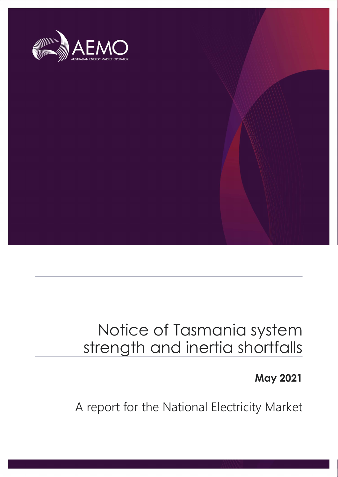

### Notice of Tasmania system strength and inertia shortfalls

May 2021

A report for the National Electricity Market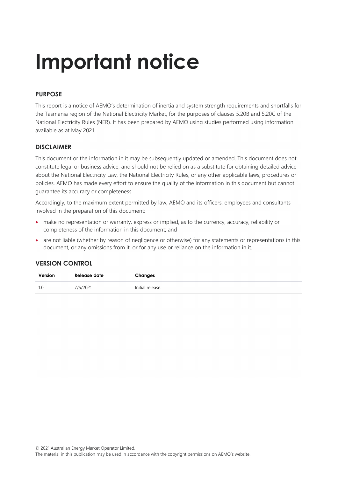# Important notice

#### PURPOSE

This report is a notice of AEMO's determination of inertia and system strength requirements and shortfalls for the Tasmania region of the National Electricity Market, for the purposes of clauses 5.20B and 5.20C of the National Electricity Rules (NER). It has been prepared by AEMO using studies performed using information available as at May 2021.

#### DISCLAIMER

This document or the information in it may be subsequently updated or amended. This document does not constitute legal or business advice, and should not be relied on as a substitute for obtaining detailed advice about the National Electricity Law, the National Electricity Rules, or any other applicable laws, procedures or policies. AEMO has made every effort to ensure the quality of the information in this document but cannot guarantee its accuracy or completeness.

Accordingly, to the maximum extent permitted by law, AEMO and its officers, employees and consultants involved in the preparation of this document:

- make no representation or warranty, express or implied, as to the currency, accuracy, reliability or completeness of the information in this document; and
- are not liable (whether by reason of negligence or otherwise) for any statements or representations in this document, or any omissions from it, or for any use or reliance on the information in it.

#### VERSION CONTROL

| Version | Release date | Changes          |
|---------|--------------|------------------|
|         | 7/5/2021     | Initial release. |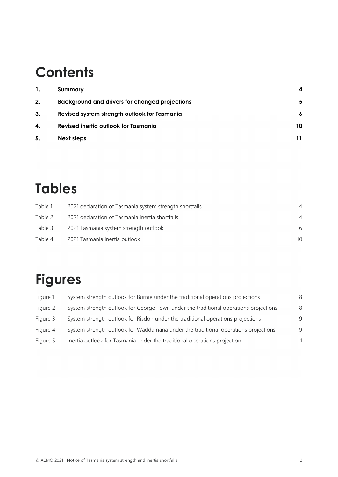### **Contents**

| 1. | Summary                                               | 4  |
|----|-------------------------------------------------------|----|
| 2. | <b>Background and drivers for changed projections</b> | 5  |
| 3. | Revised system strength outlook for Tasmania          | 6  |
| 4. | Revised inertia outlook for Tasmania                  | 10 |
| 5. | Next steps                                            |    |

### Tables

| Table 1 | 2021 declaration of Tasmania system strength shortfalls | $\overline{4}$ |
|---------|---------------------------------------------------------|----------------|
| Table 2 | 2021 declaration of Tasmania inertia shortfalls         | $\overline{A}$ |
| Table 3 | 2021 Tasmania system strength outlook                   | 6              |
| Table 4 | 2021 Tasmania inertia outlook                           | 10             |

### Figures

| Figure 1 | System strength outlook for Burnie under the traditional operations projections      | 8  |
|----------|--------------------------------------------------------------------------------------|----|
| Figure 2 | System strength outlook for George Town under the traditional operations projections | 8  |
| Figure 3 | System strength outlook for Risdon under the traditional operations projections      | 9  |
| Figure 4 | System strength outlook for Waddamana under the traditional operations projections   | 9  |
| Figure 5 | Inertia outlook for Tasmania under the traditional operations projection             | 11 |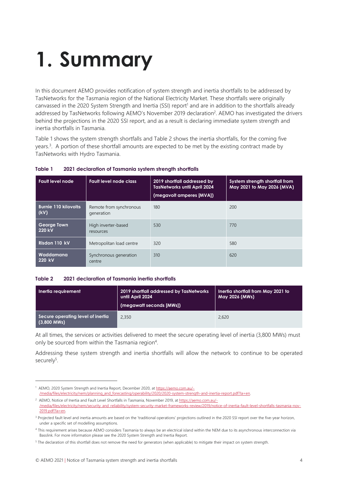# 1. Summary

In this document AEMO provides notification of system strength and inertia shortfalls to be addressed by TasNetworks for the Tasmania region of the National Electricity Market. These shortfalls were originally canvassed in the 2020 System Strength and Inertia (SSI) report<sup>1</sup> and are in addition to the shortfalls already addressed by TasNetworks following AEMO's November 2019 declaration<sup>2</sup>. AEMO has investigated the drivers behind the projections in the 2020 SSI report, and as a result is declaring immediate system strength and inertia shortfalls in Tasmania.

Table 1 shows the system strength shortfalls and Table 2 shows the inertia shortfalls, for the coming five years.<sup>3</sup>. A portion of these shortfall amounts are expected to be met by the existing contract made by TasNetworks with Hydro Tasmania.

| <b>Fault level node</b>             | <b>Fault level node class</b>         | 2019 shortfall addressed by<br><b>TasNetworks until April 2024</b><br>(megavolt amperes [MVA]) | System strength shortfall from<br>May 2021 to May 2026 (MVA) |
|-------------------------------------|---------------------------------------|------------------------------------------------------------------------------------------------|--------------------------------------------------------------|
| <b>Burnie 110 kilovolts</b><br>(kV) | Remote from synchronous<br>generation | 180                                                                                            | 200                                                          |
| <b>George Town</b><br>220 kV        | High inverter-based<br>resources      | 530                                                                                            | 770                                                          |
| Risdon 110 kV                       | Metropolitan load centre              | 320                                                                                            | 580                                                          |
| Waddamana<br>220 kV                 | Synchronous generation<br>centre      | 310                                                                                            | 620                                                          |

#### Table 1 2021 declaration of Tasmania system strength shortfalls

#### Table 2 2021 declaration of Tasmania inertia shortfalls

| Inertia requirement                                | 2019 shortfall addressed by TasNetworks<br>until April 2024<br>(megawatt seconds [MWs]) | Inertia shortfall from May 2021 to<br>May 2026 (MWs) |
|----------------------------------------------------|-----------------------------------------------------------------------------------------|------------------------------------------------------|
| Secure operating level of inertia<br>$(3,800$ MWs) | 2,350                                                                                   | 2,620                                                |

At all times, the services or activities delivered to meet the secure operating level of inertia (3,800 MWs) must only be sourced from within the Tasmania region<sup>4</sup>.

Addressing these system strength and inertia shortfalls will allow the network to continue to be operated securely<sup>5</sup>.

<sup>&</sup>lt;sup>1</sup> AEMO, 2020 System Strength and Inertia Report, December 2020, at https://aemo.com.au/-

<sup>/</sup>media/files/electricity/nem/planning\_and\_forecasting/operability/2020/2020-system-strength-and-inertia-report.pdf?la=en.

<sup>&</sup>lt;sup>2</sup> AEMO, Notice of Inertia and Fault Level Shortfalls in Tasmania, November 2019, at https://aemo.com.au/-

<sup>/</sup>media/files/electricity/nem/security\_and\_reliability/system-security-market-frameworks-review/2019/notice-of-inertia-fault-level-shortfalls-tasmania-nov-2019.pdf?la=en.

<sup>&</sup>lt;sup>3</sup> Projected fault level and inertia amounts are based on the 'traditional operations' projections outlined in the 2020 SSI report over the five-year horizon, under a specific set of modelling assumptions.

<sup>4</sup> This requirement arises because AEMO considers Tasmania to always be an electrical island within the NEM due to its asynchronous interconnection via Basslink. For more information please see the 2020 System Strength and Inertia Report.

<sup>&</sup>lt;sup>5</sup> The declaration of this shortfall does not remove the need for generators (when applicable) to mitigate their impact on system strength.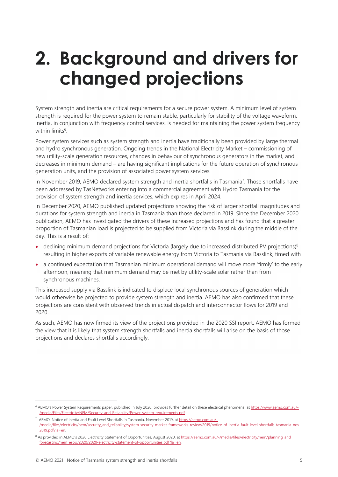## 2. Background and drivers for changed projections

System strength and inertia are critical requirements for a secure power system. A minimum level of system strength is required for the power system to remain stable, particularly for stability of the voltage waveform. Inertia, in conjunction with frequency control services, is needed for maintaining the power system frequency within limits<sup>6</sup>.

Power system services such as system strength and inertia have traditionally been provided by large thermal and hydro synchronous generation. Ongoing trends in the National Electricity Market – commissioning of new utility-scale generation resources, changes in behaviour of synchronous generators in the market, and decreases in minimum demand – are having significant implications for the future operation of synchronous generation units, and the provision of associated power system services.

In November 2019, AEMO declared system strength and inertia shortfalls in Tasmania<sup>7</sup>. Those shortfalls have been addressed by TasNetworks entering into a commercial agreement with Hydro Tasmania for the provision of system strength and inertia services, which expires in April 2024.

In December 2020, AEMO published updated projections showing the risk of larger shortfall magnitudes and durations for system strength and inertia in Tasmania than those declared in 2019. Since the December 2020 publication, AEMO has investigated the drivers of these increased projections and has found that a greater proportion of Tasmanian load is projected to be supplied from Victoria via Basslink during the middle of the day. This is a result of:

- $\bullet$  declining minimum demand projections for Victoria (largely due to increased distributed PV projections)<sup>8</sup> resulting in higher exports of variable renewable energy from Victoria to Tasmania via Basslink, timed with
- a continued expectation that Tasmanian minimum operational demand will move more 'firmly' to the early afternoon, meaning that minimum demand may be met by utility-scale solar rather than from synchronous machines.

This increased supply via Basslink is indicated to displace local synchronous sources of generation which would otherwise be projected to provide system strength and inertia. AEMO has also confirmed that these projections are consistent with observed trends in actual dispatch and interconnector flows for 2019 and 2020.

As such, AEMO has now firmed its view of the projections provided in the 2020 SSI report. AEMO has formed the view that it is likely that system strength shortfalls and inertia shortfalls will arise on the basis of those projections and declares shortfalls accordingly.

<sup>&</sup>lt;sup>6</sup> AEMO's Power System Requirements paper, published in July 2020, provides further detail on these electrical phenomena, at https://www.aemo.com.au/-/media/Files/Electricity/NEM/Security\_and\_Reliability/Power-system-requirements.pdf.

<sup>&</sup>lt;sup>7</sup> AEMO, Notice of Inertia and Fault Level Shortfalls in Tasmania, November 2019, at https://aemo.com.au/-/media/files/electricity/nem/security\_and\_reliability/system-security-market-frameworks-review/2019/notice-of-inertia-fault-level-shortfalls-tasmania-nov-2019.pdf?la=en.

<sup>&</sup>lt;sup>8</sup> As provided in AEMO's 2020 Electricity Statement of Opportunities, August 2020, at https://aemo.com.au/-/media/files/electricity/nem/planning\_and\_ forecasting/nem\_esoo/2020/2020-electricity-statement-of-opportunities.pdf?la=en.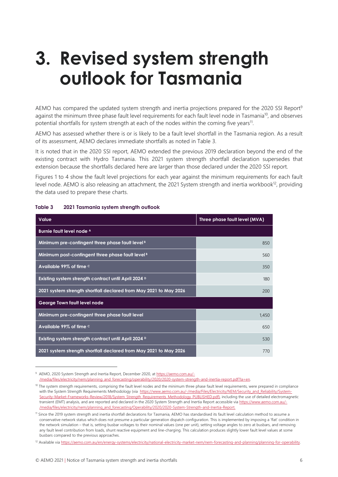## 3. Revised system strength outlook for Tasmania

AEMO has compared the updated system strength and inertia projections prepared for the 2020 SSI Report<sup>9</sup> against the minimum three phase fault level requirements for each fault level node in Tasmania<sup>10</sup>, and observes potential shortfalls for system strength at each of the nodes within the coming five years<sup>11</sup>.

AEMO has assessed whether there is or is likely to be a fault level shortfall in the Tasmania region. As a result of its assessment, AEMO declares immediate shortfalls as noted in Table 3.

It is noted that in the 2020 SSI report, AEMO extended the previous 2019 declaration beyond the end of the existing contract with Hydro Tasmania. This 2021 system strength shortfall declaration supersedes that extension because the shortfalls declared here are larger than those declared under the 2020 SSI report.

Figures 1 to 4 show the fault level projections for each year against the minimum requirements for each fault level node. AEMO is also releasing an attachment, the 2021 System strength and inertia workbook<sup>12</sup>, providing the data used to prepare these charts.

| Value                                                             | Three phase fault level (MVA) |  |
|-------------------------------------------------------------------|-------------------------------|--|
| Burnie fault level node A                                         |                               |  |
| Minimum pre-contingent three phase fault level <sup>8</sup>       | 850                           |  |
| Minimum post-contingent three phase fault level <sup>8</sup>      | 560                           |  |
| Available 99% of time $\circ$                                     | 350                           |  |
| Existing system strength contract until April 2024 <sup>D</sup>   | 180                           |  |
| 2021 system strength shortfall declared from May 2021 to May 2026 | 200                           |  |
| George Town fault level node                                      |                               |  |
| Minimum pre-contingent three phase fault level                    | 1,450                         |  |
| Available 99% of time $\circ$                                     | 650                           |  |
| Existing system strength contract until April 2024 <sup>D</sup>   | 530                           |  |
| 2021 system strength shortfall declared from May 2021 to May 2026 | 770                           |  |

#### Table 3 2021 Tasmania system strength outlook

12 Available via https://aemo.com.au/en/energy-systems/electricity/national-electricity-market-nem/nem-forecasting-and-planning/planning-for-operability.

<sup>&</sup>lt;sup>9</sup> AEMO, 2020 System Strength and Inertia Report, December 2020, at https://aemo.com.au/-

<sup>/</sup>media/files/electricity/nem/planning\_and\_forecasting/operability/2020/2020-system-strength-and-inertia-report.pdf?la=en.

<sup>10</sup> The system strength requirements, comprising the fault level nodes and the minimum three phase fault level requirements, were prepared in compliance with the System Strength Requirements Methodology (via https://www.aemo.com.au/-/media/Files/Electricity/NEM/Security\_and\_Reliability/System-Security-Market-Frameworks-Review/2018/System\_Strength\_Requirements\_Methodology\_PUBLISHED.pdf), including the use of detailed electromagnetic transient (EMT) analysis, and are reported and declared in the 2020 System Strength and Inertia Report accessible via https://www.aemo.com.au/-/media/files/electricity/nem/planning\_and\_forecasting/Operability/2020/2020-System-Strength-and-Inertia-Report.

<sup>&</sup>lt;sup>11</sup> Since the 2019 system strength and inertia shortfall declarations for Tasmania, AEMO has standardised its fault level calculation method to assume a conservative network status which does not presume a particular generation dispatch configuration. This is implemented by imposing a 'flat' condition in the network simulation – that is, setting busbar voltages to their nominal values (one per unit), setting voltage angles to zero at busbars, and removing any fault level contribution from loads, shunt reactive equipment and line-charging. This calculation produces slightly lower fault level values at some busbars compared to the previous approaches.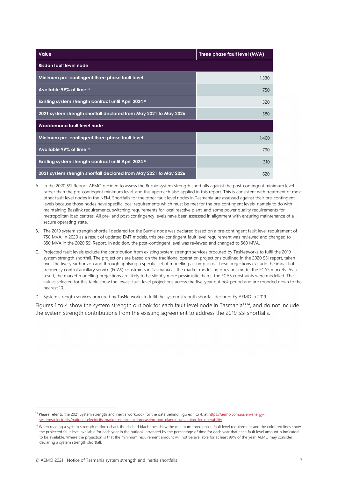| Value                                                             | Three phase fault level (MVA) |  |
|-------------------------------------------------------------------|-------------------------------|--|
| Risdon fault level node                                           |                               |  |
| Minimum pre-contingent three phase fault level                    | 1,330                         |  |
| Available 99% of time $\circ$                                     | 750                           |  |
| Existing system strength contract until April 2024 <sup>D</sup>   | 320                           |  |
| 2021 system strength shortfall declared from May 2021 to May 2026 | 580                           |  |
| Waddamana fault level node                                        |                               |  |
| Minimum pre-contingent three phase fault level                    | 1,400                         |  |
| Available 99% of time $\circ$                                     | 790                           |  |
| Existing system strength contract until April 2024 <sup>D</sup>   | 310                           |  |
| 2021 system strength shortfall declared from May 2021 to May 2026 | 620                           |  |

- A. In the 2020 SSI Report, AEMO decided to assess the Burnie system strength shortfalls against the post-contingent minimum level rather than the pre-contingent minimum level, and this approach also applied in this report. This is consistent with treatment of most other fault level nodes in the NEM. Shortfalls for the other fault level nodes in Tasmania are assessed against their pre-contingent levels because those nodes have specific local requirements which must be met for the pre-contingent levels, namely to do with maintaining Basslink requirements, switching requirements for local reactive plant, and some power quality requirements for metropolitan load centres. All pre- and post-contingency levels have been assessed in alignment with ensuring maintenance of a secure operating state.
- B. The 2019 system strength shortfall declared for the Burnie node was declared based on a pre-contingent fault level requirement of 750 MVA. In 2020 as a result of updated EMT models, this pre-contingent fault level requirement was reviewed and changed to 850 MVA in the 2020 SSI Report. In addition, the post-contingent level was reviewed and changed to 560 MVA.
- C. Projected fault levels exclude the contribution from existing system strength services procured by TasNetworks to fulfil the 2019 system strength shortfall. The projections are based on the traditional operation projections outlined in the 2020 SSI report, taken over the five-year horizon and through applying a specific set of modelling assumptions. These projections exclude the impact of frequency control ancillary service (FCAS) constraints in Tasmania as the market modelling does not model the FCAS markets. As a result, the market modelling projections are likely to be slightly more pessimistic than if the FCAS constraints were modelled. The values selected for this table show the lowest fault level projections across the five-year outlook period and are rounded down to the nearest 10.

D. System strength services procured by TasNetworks to fulfil the system strength shortfall declared by AEMO in 2019.

Figures 1 to 4 show the system strength outlook for each fault level node in Tasmania<sup>13,14</sup>, and do not include the system strength contributions from the existing agreement to address the 2019 SSI shortfalls.

<sup>&</sup>lt;sup>13</sup> Please refer to the 2021 System strength and inertia workbook for the data behind Figures 1 to 4, at https://aemo.com.au/en/energysystems/electricity/national-electricity-market-nem/nem-forecasting-and-planning/planning-for-operability.

<sup>&</sup>lt;sup>14</sup> When reading a system strength outlook chart, the dashed black lines show the minimum three phase fault level requirement and the coloured lines show the projected fault level available for each year in the outlook, arranged by the percentage of time for each year that each fault level amount is indicated to be available. Where the projection is that the minimum requirement amount will not be available for at least 99% of the year, AEMO may consider declaring a system strength shortfall.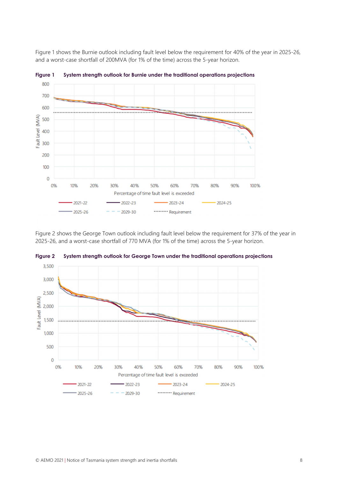Figure 1 shows the Burnie outlook including fault level below the requirement for 40% of the year in 2025-26, and a worst-case shortfall of 200MVA (for 1% of the time) across the 5-year horizon.



Figure 1 System strength outlook for Burnie under the traditional operations projections

Figure 2 shows the George Town outlook including fault level below the requirement for 37% of the year in 2025-26, and a worst-case shortfall of 770 MVA (for 1% of the time) across the 5-year horizon.



Figure 2 System strength outlook for George Town under the traditional operations projections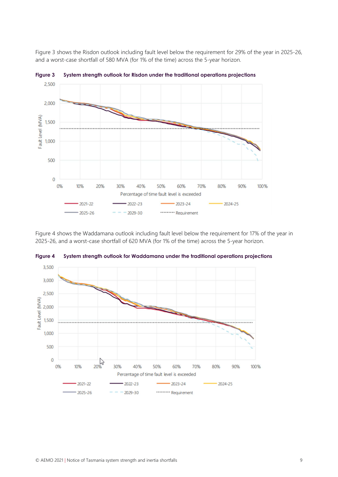Figure 3 shows the Risdon outlook including fault level below the requirement for 29% of the year in 2025-26, and a worst-case shortfall of 580 MVA (for 1% of the time) across the 5-year horizon.



Figure 3 System strength outlook for Risdon under the traditional operations projections

Figure 4 shows the Waddamana outlook including fault level below the requirement for 17% of the year in 2025-26, and a worst-case shortfall of 620 MVA (for 1% of the time) across the 5-year horizon.



Figure 4 System strength outlook for Waddamana under the traditional operations projections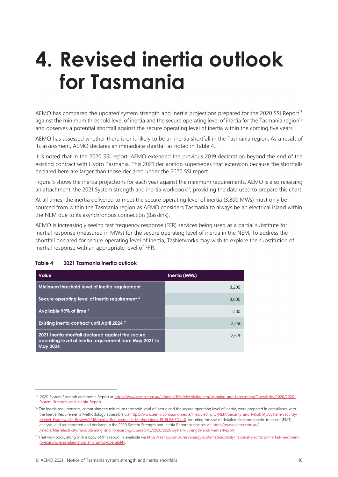## 4. Revised inertia outlook for Tasmania

AEMO has compared the updated system strength and inertia projections prepared for the 2020 SSI Report<sup>15</sup> against the minimum threshold level of inertia and the secure operating level of inertia for the Tasmania region<sup>16</sup>, and observes a potential shortfall against the secure operating level of inertia within the coming five years.

AEMO has assessed whether there is or is likely to be an inertia shortfall in the Tasmania region. As a result of its assessment, AEMO declares an immediate shortfall as noted in Table 4.

It is noted that in the 2020 SSI report, AEMO extended the previous 2019 declaration beyond the end of the existing contract with Hydro Tasmania. This 2021 declaration supersedes that extension because the shortfalls declared here are larger than those declared under the 2020 SSI report.

Figure 5 shows the inertia projections for each year against the minimum requirements. AEMO is also releasing an attachment, the 2021 System strength and inertia workbook<sup>17</sup>, providing the data used to prepare this chart.

At all times, the inertia delivered to meet the secure operating level of inertia (3,800 MWs) must only be sourced from within the Tasmania region as AEMO considers Tasmania to always be an electrical island within the NEM due to its asynchronous connection (Basslink).

AEMO is increasingly seeing fast frequency response (FFR) services being used as a partial substitute for inertial response (measured in MWs) for the secure operating level of inertia in the NEM. To address the shortfall declared for secure operating level of inertia, TasNetworks may wish to explore the substitution of inertial response with an appropriate level of FFR.

| Value                                                                                                                            | Inertia (MWs) |
|----------------------------------------------------------------------------------------------------------------------------------|---------------|
| Minimum threshold level of inertia requirement                                                                                   | 3,200         |
| Secure operating level of inertia requirement A                                                                                  | 3,800         |
| Available 99% of time B                                                                                                          | 1.180         |
| Existing inertia contract until April 2024 <sup>c</sup>                                                                          | 2,350         |
| 2021 Inertia shortfall declared against the secure<br>operating level of inertia requirement from May 2021 to<br><b>May 2026</b> | 2,620         |

#### Table 4 2021 Tasmania inertia outlook

<sup>15 2020</sup> System Strength and Inertia Report at https://www.aemo.com.au/-/media/files/electricity/nem/planning\_and\_forecasting/Operability/2020/2020-System-Strength-and-Inertia-Report

<sup>&</sup>lt;sup>16</sup> The inertia requirements, comprising the minimum threshold level of inertia and the secure operating level of inertia, were prepared in compliance with the Inertia Requirements Methodology accessible via https://www.aemo.com.au/-/media/Files/Electricity/NEM/Security\_and\_Reliability/System-Security-Market-Frameworks-Review/2018/Inertia\_Requirements\_Methodology\_PUBLISHED.pdf, including the use of detailed electromagnetic transient (EMT) analysis, and are reported and declared in the 2020 System Strength and Inertia Report accessible via https://www.aemo.com.au/- /media/files/electricity/nem/planning\_and\_forecasting/Operability/2020/2020-System-Strength-and-Inertia-Report.

<sup>&</sup>lt;sup>17</sup> That workbook, along with a copy of this report, is available via https://aemo.com.au/en/energy-systems/electricity/national-electricity-market-nem/nemforecasting-and-planning/planning-for-operability.